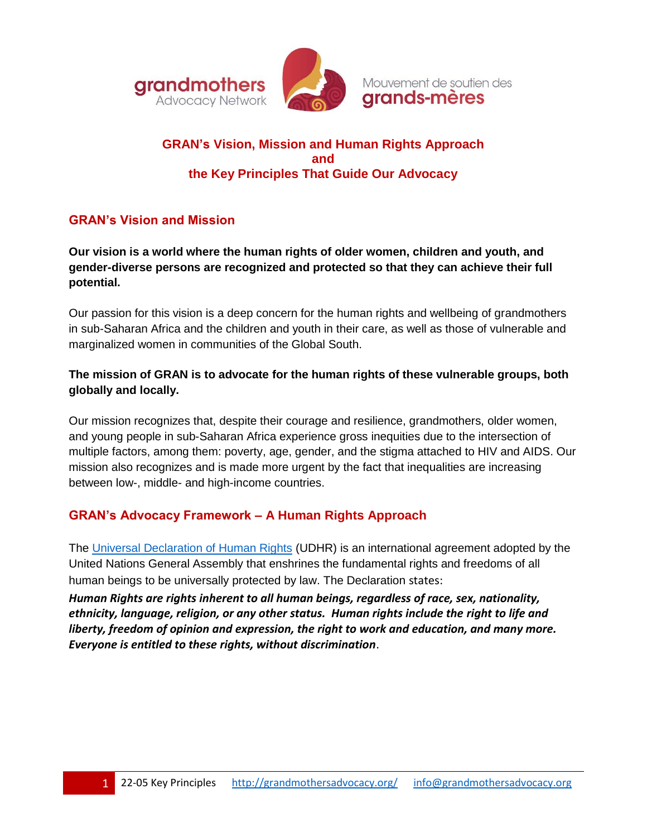

# **GRAN's Vision, Mission and Human Rights Approach and the Key Principles That Guide Our Advocacy**

# **GRAN's Vision and Mission**

**Our vision is a world where the human rights of older women, children and youth, and gender-diverse persons are recognized and protected so that they can achieve their full potential.**

Our passion for this vision is a deep concern for the human rights and wellbeing of grandmothers in sub-Saharan Africa and the children and youth in their care, as well as those of vulnerable and marginalized women in communities of the Global South.

### **The mission of GRAN is to advocate for the human rights of these vulnerable groups, both globally and locally.**

Our mission recognizes that, despite their courage and resilience, grandmothers, older women, and young people in sub-Saharan Africa experience gross inequities due to the intersection of multiple factors, among them: poverty, age, gender, and the stigma attached to HIV and AIDS. Our mission also recognizes and is made more urgent by the fact that inequalities are increasing between low-, middle- and high-income countries.

## **GRAN's Advocacy Framework – A Human Rights Approach**

The [Universal Declaration of Human Rights](https://www.un.org/en/about-us/universal-declaration-of-human-rights) (UDHR) is an international agreement adopted by the United Nations General Assembly that enshrines the fundamental rights and freedoms of all human beings to be universally protected by law. The Declaration states:

*Human Rights are rights inherent to all human beings, regardless of race, sex, nationality, ethnicity, language, religion, or any other status. Human rights include the right to life and liberty, freedom of opinion and expression, the right to work and education, and many more. Everyone is entitled to these rights, without discrimination*.